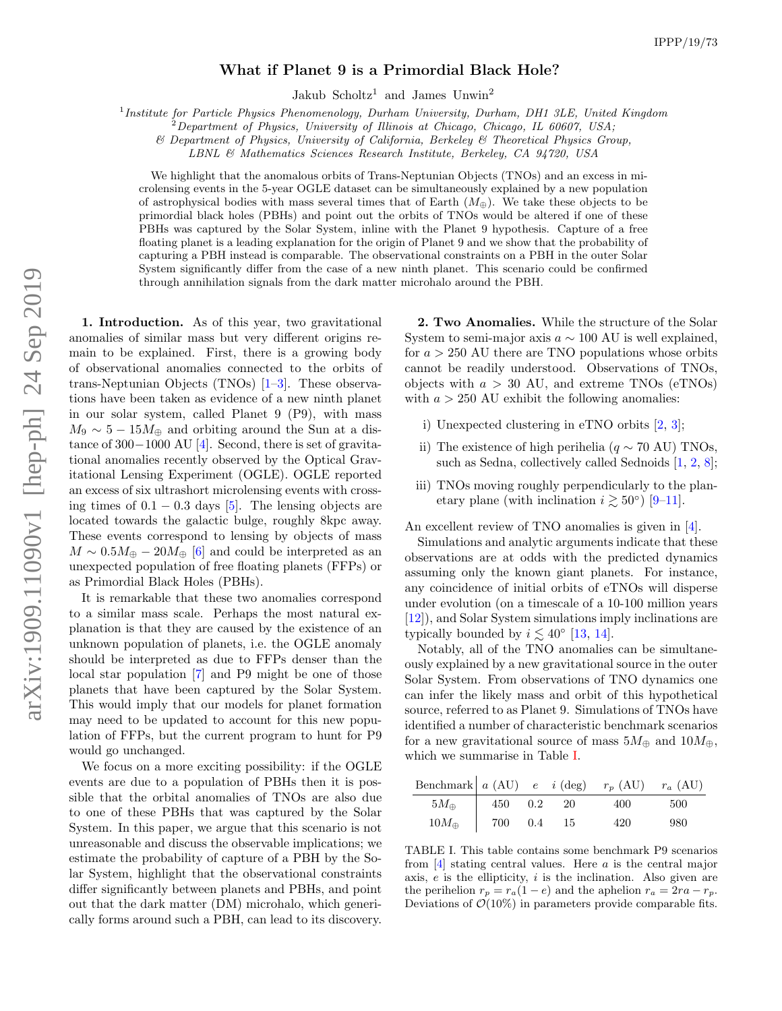## What if Planet 9 is a Primordial Black Hole?

Jakub Scholtz<sup>1</sup> and James Unwin<sup>2</sup>

<sup>1</sup> Institute for Particle Physics Phenomenology, Durham University, Durham, DH1 3LE, United Kingdom

 $^{2}$ Department of Physics, University of Illinois at Chicago, Chicago, IL 60607, USA;

& Department of Physics, University of California, Berkeley & Theoretical Physics Group,

LBNL & Mathematics Sciences Research Institute, Berkeley, CA 94720, USA

We highlight that the anomalous orbits of Trans-Neptunian Objects (TNOs) and an excess in microlensing events in the 5-year OGLE dataset can be simultaneously explained by a new population of astrophysical bodies with mass several times that of Earth  $(M_{\oplus})$ . We take these objects to be primordial black holes (PBHs) and point out the orbits of TNOs would be altered if one of these PBHs was captured by the Solar System, inline with the Planet 9 hypothesis. Capture of a free floating planet is a leading explanation for the origin of Planet 9 and we show that the probability of capturing a PBH instead is comparable. The observational constraints on a PBH in the outer Solar System significantly differ from the case of a new ninth planet. This scenario could be confirmed through annihilation signals from the dark matter microhalo around the PBH.

1. Introduction. As of this year, two gravitational anomalies of similar mass but very different origins remain to be explained. First, there is a growing body of observational anomalies connected to the orbits of trans-Neptunian Objects (TNOs) [\[1](#page-5-0)[–3\]](#page-5-1). These observations have been taken as evidence of a new ninth planet in our solar system, called Planet 9 (P9), with mass  $M_9 \sim 5 - 15 M_{\oplus}$  and orbiting around the Sun at a distance of 300−1000 AU [\[4\]](#page-5-2). Second, there is set of gravitational anomalies recently observed by the Optical Gravitational Lensing Experiment (OGLE). OGLE reported an excess of six ultrashort microlensing events with crossing times of  $0.1 - 0.3$  days [\[5\]](#page-5-3). The lensing objects are located towards the galactic bulge, roughly 8kpc away. These events correspond to lensing by objects of mass  $M \sim 0.5 M_{\oplus} - 20 M_{\oplus}$  [\[6\]](#page-5-4) and could be interpreted as an unexpected population of free floating planets (FFPs) or as Primordial Black Holes (PBHs).

It is remarkable that these two anomalies correspond to a similar mass scale. Perhaps the most natural explanation is that they are caused by the existence of an unknown population of planets, i.e. the OGLE anomaly should be interpreted as due to FFPs denser than the local star population [\[7\]](#page-5-5) and P9 might be one of those planets that have been captured by the Solar System. This would imply that our models for planet formation may need to be updated to account for this new population of FFPs, but the current program to hunt for P9 would go unchanged.

We focus on a more exciting possibility: if the OGLE events are due to a population of PBHs then it is possible that the orbital anomalies of TNOs are also due to one of these PBHs that was captured by the Solar System. In this paper, we argue that this scenario is not unreasonable and discuss the observable implications; we estimate the probability of capture of a PBH by the Solar System, highlight that the observational constraints differ significantly between planets and PBHs, and point out that the dark matter (DM) microhalo, which generically forms around such a PBH, can lead to its discovery.

2. Two Anomalies. While the structure of the Solar System to semi-major axis  $a \sim 100$  AU is well explained, for  $a > 250$  AU there are TNO populations whose orbits cannot be readily understood. Observations of TNOs, objects with  $a > 30$  AU, and extreme TNOs (eTNOs) with  $a > 250$  AU exhibit the following anomalies:

- i) Unexpected clustering in eTNO orbits [\[2,](#page-5-6) [3\]](#page-5-1);
- ii) The existence of high perihelia ( $q \sim 70$  AU) TNOs, such as Sedna, collectively called Sednoids [\[1,](#page-5-0) [2,](#page-5-6) [8\]](#page-5-7);
- iii) TNOs moving roughly perpendicularly to the planetary plane (with inclination  $i \gtrsim 50^{\circ}$ ) [\[9](#page-5-8)[–11\]](#page-5-9).

An excellent review of TNO anomalies is given in [\[4\]](#page-5-2).

Simulations and analytic arguments indicate that these observations are at odds with the predicted dynamics assuming only the known giant planets. For instance, any coincidence of initial orbits of eTNOs will disperse under evolution (on a timescale of a 10-100 million years [\[12\]](#page-5-10)), and Solar System simulations imply inclinations are typically bounded by  $i \lesssim 40^{\circ}$  [\[13,](#page-5-11) [14\]](#page-5-12).

Notably, all of the TNO anomalies can be simultaneously explained by a new gravitational source in the outer Solar System. From observations of TNO dynamics one can infer the likely mass and orbit of this hypothetical source, referred to as Planet 9. Simulations of TNOs have identified a number of characteristic benchmark scenarios for a new gravitational source of mass  $5M_{\oplus}$  and  $10M_{\oplus}$ , which we summarise in Table [I.](#page-0-0)

| Benchmark $a$ (AU) $e$ $i$ (deg) $r_p$ (AU) $r_a$ (AU) |                |  |     |      |
|--------------------------------------------------------|----------------|--|-----|------|
| $5M_{\oplus}$                                          | 450  0.2  20   |  | 400 | -500 |
| $10M_{\oplus}$                                         | 700   0.4   15 |  | 420 | -980 |

<span id="page-0-0"></span>TABLE I. This table contains some benchmark P9 scenarios from  $[4]$  stating central values. Here a is the central major axis,  $e$  is the ellipticity,  $i$  is the inclination. Also given are the perihelion  $r_p = r_a(1 - e)$  and the aphelion  $r_a = 2ra - r_p$ . Deviations of  $\mathcal{O}(10\%)$  in parameters provide comparable fits.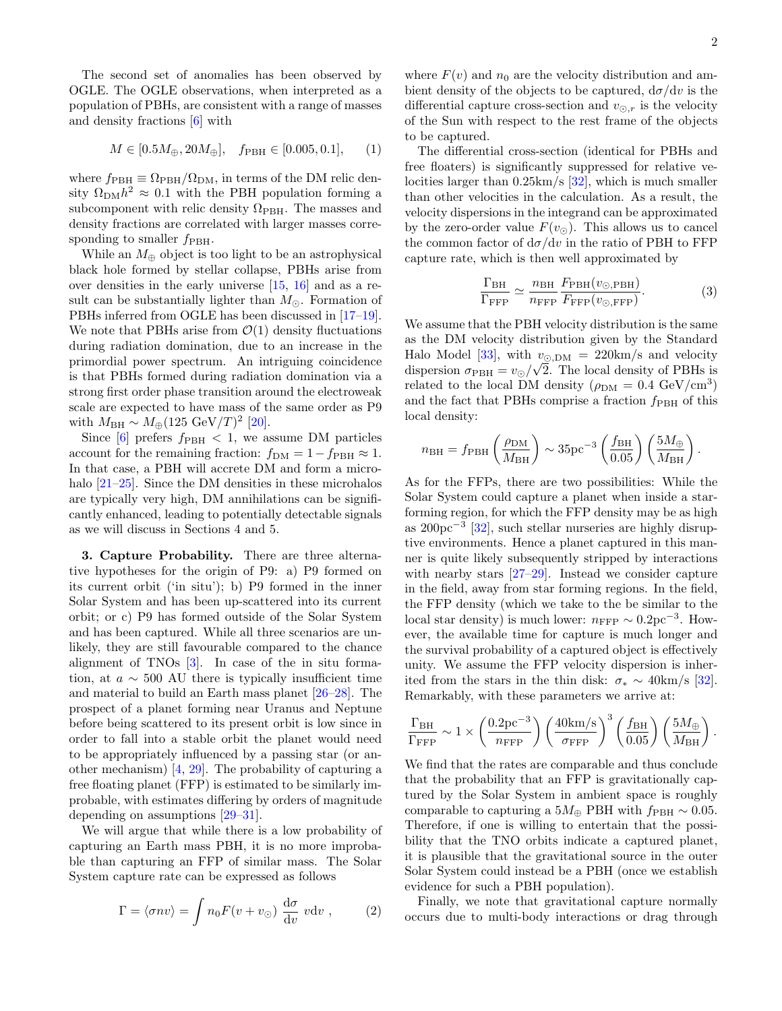The second set of anomalies has been observed by OGLE. The OGLE observations, when interpreted as a population of PBHs, are consistent with a range of masses and density fractions [\[6\]](#page-5-4) with

$$
M \in [0.5M_{\oplus}, 20M_{\oplus}], \quad f_{\rm PBH} \in [0.005, 0.1], \quad (1)
$$

where  $f_{\rm PBH} \equiv \Omega_{\rm PBH}/\Omega_{\rm DM},$  in terms of the DM relic density  $\Omega_{\text{DM}} h^2 \approx 0.1$  with the PBH population forming a subcomponent with relic density  $\Omega_{\rm PBH}$ . The masses and density fractions are correlated with larger masses corresponding to smaller  $f_{\rm PBH}$ .

While an  $M_{\oplus}$  object is too light to be an astrophysical black hole formed by stellar collapse, PBHs arise from over densities in the early universe [\[15,](#page-6-0) [16\]](#page-6-1) and as a result can be substantially lighter than  $M_{\odot}$ . Formation of PBHs inferred from OGLE has been discussed in [\[17–](#page-6-2)[19\]](#page-6-3). We note that PBHs arise from  $\mathcal{O}(1)$  density fluctuations during radiation domination, due to an increase in the primordial power spectrum. An intriguing coincidence is that PBHs formed during radiation domination via a strong first order phase transition around the electroweak scale are expected to have mass of the same order as P9 with  $M_{\rm BH} \sim M_{\oplus} (125 \text{ GeV}/T)^2$  [\[20\]](#page-6-4).

Since [\[6\]](#page-5-4) prefers  $f_{\rm PBH} < 1$ , we assume DM particles account for the remaining fraction:  $f_{DM} = 1 - f_{PBH} \approx 1$ . In that case, a PBH will accrete DM and form a microhalo  $[21-25]$ . Since the DM densities in these microhalos are typically very high, DM annihilations can be significantly enhanced, leading to potentially detectable signals as we will discuss in Sections 4 and 5.

3. Capture Probability. There are three alternative hypotheses for the origin of P9: a) P9 formed on its current orbit ('in situ'); b) P9 formed in the inner Solar System and has been up-scattered into its current orbit; or c) P9 has formed outside of the Solar System and has been captured. While all three scenarios are unlikely, they are still favourable compared to the chance alignment of TNOs [\[3\]](#page-5-1). In case of the in situ formation, at  $a \sim 500$  AU there is typically insufficient time and material to build an Earth mass planet [\[26–](#page-6-7)[28\]](#page-6-8). The prospect of a planet forming near Uranus and Neptune before being scattered to its present orbit is low since in order to fall into a stable orbit the planet would need to be appropriately influenced by a passing star (or another mechanism) [\[4,](#page-5-2) [29\]](#page-6-9). The probability of capturing a free floating planet (FFP) is estimated to be similarly improbable, with estimates differing by orders of magnitude depending on assumptions [\[29–](#page-6-9)[31\]](#page-6-10).

We will argue that while there is a low probability of capturing an Earth mass PBH, it is no more improbable than capturing an FFP of similar mass. The Solar System capture rate can be expressed as follows

$$
\Gamma = \langle \sigma n v \rangle = \int n_0 F(v + v_\odot) \frac{d\sigma}{dv} v dv , \qquad (2)
$$

where  $F(v)$  and  $n_0$  are the velocity distribution and ambient density of the objects to be captured,  $d\sigma/dv$  is the differential capture cross-section and  $v_{\odot,r}$  is the velocity of the Sun with respect to the rest frame of the objects to be captured.

The differential cross-section (identical for PBHs and free floaters) is significantly suppressed for relative velocities larger than 0.25km/s [\[32\]](#page-6-11), which is much smaller than other velocities in the calculation. As a result, the velocity dispersions in the integrand can be approximated by the zero-order value  $F(v_{\odot})$ . This allows us to cancel the common factor of  $d\sigma/dv$  in the ratio of PBH to FFP capture rate, which is then well approximated by

$$
\frac{\Gamma_{\rm BH}}{\Gamma_{\rm FFP}} \simeq \frac{n_{\rm BH}}{n_{\rm FFP}} \frac{F_{\rm PBH}(v_{\odot, PBH})}{F_{\rm FFP}(v_{\odot, FFP})}.
$$
(3)

We assume that the PBH velocity distribution is the same as the DM velocity distribution given by the Standard Halo Model [\[33\]](#page-6-12), with  $v_{\odot,DM} = 220 \text{km/s}$  and velocity dispersion  $\sigma_{\rm PBH} = v_{\odot}/\sqrt{2}$ . The local density of PBHs is related to the local DM density  $(\rho_{DM} = 0.4 \text{ GeV}/\text{cm}^3)$ and the fact that PBHs comprise a fraction  $f_{\rm PBH}$  of this local density:

$$
n_{\rm BH} = f_{\rm PBH} \left(\frac{\rho_{\rm DM}}{M_{\rm BH}}\right) \sim 35 \text{pc}^{-3} \left(\frac{f_{\rm BH}}{0.05}\right) \left(\frac{5M_{\oplus}}{M_{\rm BH}}\right).
$$

As for the FFPs, there are two possibilities: While the Solar System could capture a planet when inside a starforming region, for which the FFP density may be as high as 200pc<sup>−</sup><sup>3</sup> [\[32\]](#page-6-11), such stellar nurseries are highly disruptive environments. Hence a planet captured in this manner is quite likely subsequently stripped by interactions with nearby stars [\[27](#page-6-13)[–29\]](#page-6-9). Instead we consider capture in the field, away from star forming regions. In the field, the FFP density (which we take to the be similar to the local star density) is much lower:  $n_{\text{FFP}} \sim 0.2 \text{pc}^{-3}$ . However, the available time for capture is much longer and the survival probability of a captured object is effectively unity. We assume the FFP velocity dispersion is inherited from the stars in the thin disk:  $\sigma_* \sim 40 \text{km/s}$  [\[32\]](#page-6-11). Remarkably, with these parameters we arrive at:

$$
\frac{\Gamma_{\rm BH}}{\Gamma_{\rm FFP}} \sim 1 \times \left(\frac{0.2 \text{pc}^{-3}}{n_{\rm FFP}}\right) \left(\frac{40 \text{km/s}}{\sigma_{\rm FFP}}\right)^3 \left(\frac{f_{\rm BH}}{0.05}\right) \left(\frac{5 M_{\oplus}}{M_{\rm BH}}\right).
$$

We find that the rates are comparable and thus conclude that the probability that an FFP is gravitationally captured by the Solar System in ambient space is roughly comparable to capturing a  $5M_{\oplus}$  PBH with  $f_{\rm PBH} \sim 0.05$ . Therefore, if one is willing to entertain that the possibility that the TNO orbits indicate a captured planet, it is plausible that the gravitational source in the outer Solar System could instead be a PBH (once we establish evidence for such a PBH population).

Finally, we note that gravitational capture normally occurs due to multi-body interactions or drag through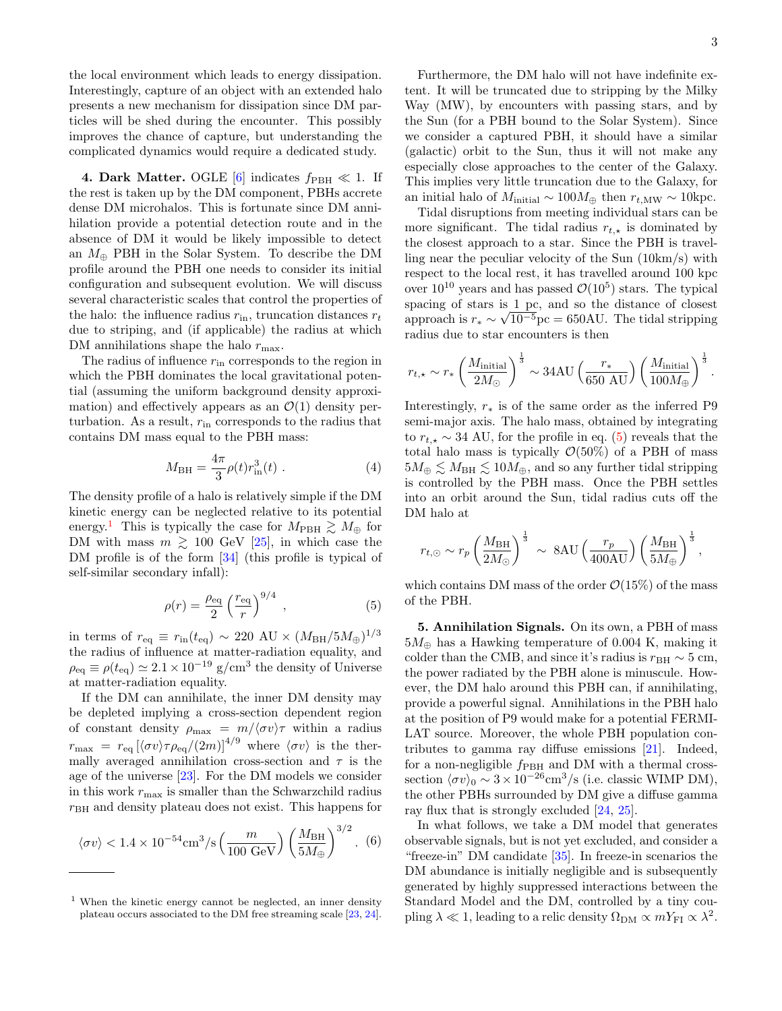the local environment which leads to energy dissipation. Interestingly, capture of an object with an extended halo presents a new mechanism for dissipation since DM particles will be shed during the encounter. This possibly improves the chance of capture, but understanding the complicated dynamics would require a dedicated study.

4. Dark Matter. OGLE [\[6\]](#page-5-4) indicates  $f_{\rm PBH} \ll 1$ . If the rest is taken up by the DM component, PBHs accrete dense DM microhalos. This is fortunate since DM annihilation provide a potential detection route and in the absence of DM it would be likely impossible to detect an  $M_{\oplus}$  PBH in the Solar System. To describe the DM profile around the PBH one needs to consider its initial configuration and subsequent evolution. We will discuss several characteristic scales that control the properties of the halo: the influence radius  $r_{\text{in}}$ , truncation distances  $r_t$ due to striping, and (if applicable) the radius at which DM annihilations shape the halo  $r_{\rm max}.$ 

The radius of influence  $r_{\text{in}}$  corresponds to the region in which the PBH dominates the local gravitational potential (assuming the uniform background density approximation) and effectively appears as an  $\mathcal{O}(1)$  density perturbation. As a result,  $r_{\text{in}}$  corresponds to the radius that contains DM mass equal to the PBH mass:

$$
M_{\rm BH} = \frac{4\pi}{3} \rho(t) r_{\rm in}^3(t) \ . \tag{4}
$$

The density profile of a halo is relatively simple if the DM kinetic energy can be neglected relative to its potential energy.<sup>[1](#page-2-0)</sup> This is typically the case for  $M_{\text{PBH}} \gtrsim M_{\oplus}$  for DM with mass  $m \geq 100$  GeV [\[25\]](#page-6-6), in which case the DM profile is of the form [\[34\]](#page-6-14) (this profile is typical of self-similar secondary infall):

<span id="page-2-1"></span>
$$
\rho(r) = \frac{\rho_{\text{eq}}}{2} \left(\frac{r_{\text{eq}}}{r}\right)^{9/4} ,\qquad (5)
$$

in terms of  $r_{\text{eq}} \equiv r_{\text{in}}(t_{\text{eq}}) \sim 220 \text{ AU} \times (M_{\text{BH}}/5M_{\oplus})^{1/3}$ the radius of influence at matter-radiation equality, and  $\rho_{\text{eq}} \equiv \rho(t_{\text{eq}}) \simeq 2.1 \times 10^{-19} \text{ g/cm}^3$  the density of Universe at matter-radiation equality.

If the DM can annihilate, the inner DM density may be depleted implying a cross-section dependent region of constant density  $\rho_{\text{max}} = m/\langle \sigma v \rangle \tau$  within a radius  $r_{\text{max}} = r_{\text{eq}} \left[ \langle \sigma v \rangle \tau \rho_{\text{eq}} / (2m) \right]^{4/9}$  where  $\langle \sigma v \rangle$  is the thermally averaged annihilation cross-section and  $\tau$  is the age of the universe [\[23\]](#page-6-15). For the DM models we consider in this work  $r_{\text{max}}$  is smaller than the Schwarzchild radius  $r<sub>BH</sub>$  and density plateau does not exist. This happens for

<span id="page-2-3"></span>
$$
\langle \sigma v \rangle < 1.4 \times 10^{-54} \text{cm}^3/\text{s} \left(\frac{m}{100 \text{ GeV}}\right) \left(\frac{M_{\text{BH}}}{5M_{\oplus}}\right)^{3/2}.
$$
 (6)

Furthermore, the DM halo will not have indefinite extent. It will be truncated due to stripping by the Milky Way (MW), by encounters with passing stars, and by the Sun (for a PBH bound to the Solar System). Since we consider a captured PBH, it should have a similar (galactic) orbit to the Sun, thus it will not make any especially close approaches to the center of the Galaxy. This implies very little truncation due to the Galaxy, for an initial halo of  $M_{initial} \sim 100 M_{\oplus}$  then  $r_{t,MW} \sim 10$ kpc.

Tidal disruptions from meeting individual stars can be more significant. The tidal radius  $r_{t, \star}$  is dominated by the closest approach to a star. Since the PBH is travelling near the peculiar velocity of the Sun (10km/s) with respect to the local rest, it has travelled around 100 kpc over  $10^{10}$  years and has passed  $\mathcal{O}(10^5)$  stars. The typical spacing of stars is  $\frac{1}{\sqrt{2}}$ , and so the distance of closest approach is  $r_* \sim \sqrt{10^{-5}}$ pc = 650AU. The tidal stripping radius due to star encounters is then

<span id="page-2-2"></span>
$$
r_{t,\star} \sim r_* \left(\frac{M_{\rm initial}}{2 M_\odot}\right)^{\frac{1}{3}} \sim 34 \text{AU} \left(\frac{r_*}{650 \text{ AU}}\right) \left(\frac{M_{\rm initial}}{100 M_\oplus}\right)^{\frac{1}{3}}.
$$

Interestingly,  $r_*$  is of the same order as the inferred P9 semi-major axis. The halo mass, obtained by integrating to  $r_{t, \star} \sim 34$  AU, for the profile in eq. [\(5\)](#page-2-1) reveals that the total halo mass is typically  $\mathcal{O}(50\%)$  of a PBH of mass  $5M_{\oplus} \leq M_{\text{BH}} \leq 10M_{\oplus}$ , and so any further tidal stripping is controlled by the PBH mass. Once the PBH settles into an orbit around the Sun, tidal radius cuts off the DM halo at

$$
r_{t,\odot} \sim r_p \left(\frac{M_{\rm BH}}{2M_\odot}\right)^{\frac{1}{3}} \sim 8 {\rm AU} \left(\frac{r_p}{400 {\rm AU}}\right) \left(\frac{M_{\rm BH}}{5M_\oplus}\right)^{\frac{1}{3}},
$$

which contains DM mass of the order  $\mathcal{O}(15\%)$  of the mass of the PBH.

5. Annihilation Signals. On its own, a PBH of mass  $5M_{\oplus}$  has a Hawking temperature of 0.004 K, making it colder than the CMB, and since it's radius is  $r_{\text{BH}} \sim 5 \text{ cm}$ , the power radiated by the PBH alone is minuscule. However, the DM halo around this PBH can, if annihilating, provide a powerful signal. Annihilations in the PBH halo at the position of P9 would make for a potential FERMI-LAT source. Moreover, the whole PBH population contributes to gamma ray diffuse emissions [\[21\]](#page-6-5). Indeed, for a non-negligible  $f_{\rm PBH}$  and DM with a thermal crosssection  $\langle \sigma v \rangle_0 \sim 3 \times 10^{-26} \text{cm}^3/\text{s}$  (i.e. classic WIMP DM), the other PBHs surrounded by DM give a diffuse gamma ray flux that is strongly excluded [\[24,](#page-6-16) [25\]](#page-6-6).

In what follows, we take a DM model that generates observable signals, but is not yet excluded, and consider a "freeze-in" DM candidate [\[35\]](#page-6-17). In freeze-in scenarios the DM abundance is initially negligible and is subsequently generated by highly suppressed interactions between the Standard Model and the DM, controlled by a tiny coupling  $\lambda \ll 1$ , leading to a relic density  $\Omega_{\text{DM}} \propto m Y_{\text{FI}} \propto \lambda^2$ .

<span id="page-2-0"></span><sup>1</sup> When the kinetic energy cannot be neglected, an inner density plateau occurs associated to the DM free streaming scale [\[23,](#page-6-15) [24\]](#page-6-16).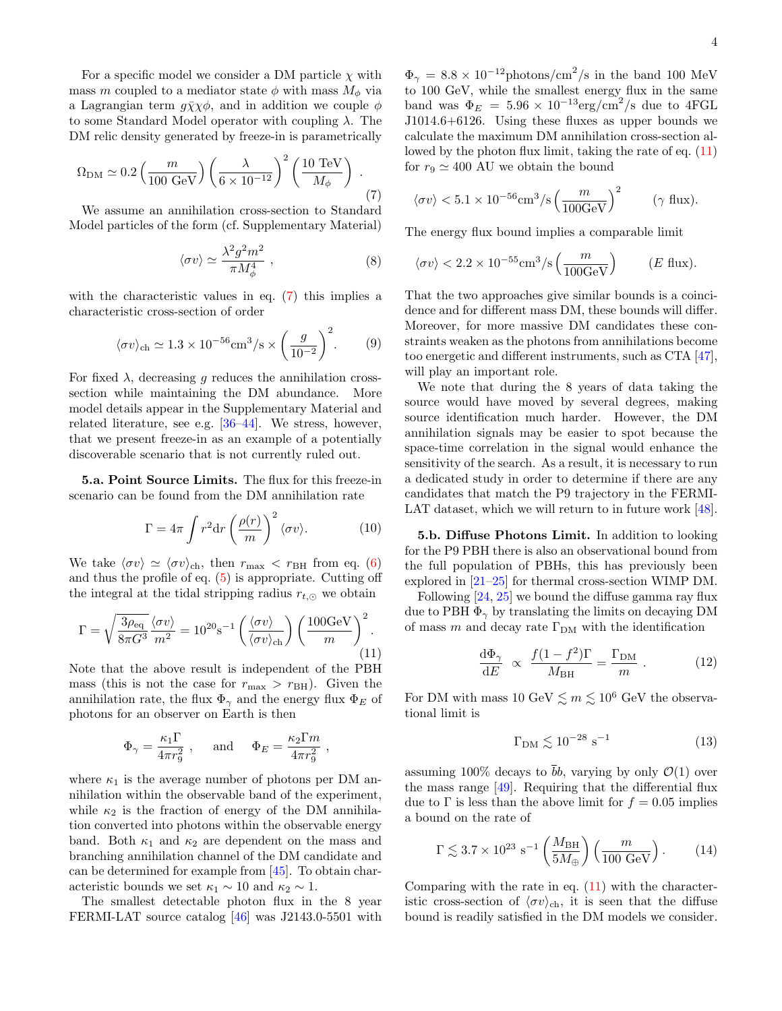For a specific model we consider a DM particle  $\chi$  with mass m coupled to a mediator state  $\phi$  with mass  $M_{\phi}$  via a Lagrangian term  $g\bar{\chi}\chi\phi$ , and in addition we couple  $\phi$ to some Standard Model operator with coupling λ. The DM relic density generated by freeze-in is parametrically

$$
\Omega_{\rm DM} \simeq 0.2 \left( \frac{m}{100 \text{ GeV}} \right) \left( \frac{\lambda}{6 \times 10^{-12}} \right)^2 \left( \frac{10 \text{ TeV}}{M_{\phi}} \right) . \tag{7}
$$

We assume an annihilation cross-section to Standard Model particles of the form (cf. Supplementary Material)

<span id="page-3-1"></span>
$$
\langle \sigma v \rangle \simeq \frac{\lambda^2 g^2 m^2}{\pi M_\phi^4} \;, \tag{8}
$$

with the characteristic values in eq.  $(7)$  this implies a characteristic cross-section of order

$$
\langle \sigma v \rangle_{\text{ch}} \simeq 1.3 \times 10^{-56} \text{cm}^3/\text{s} \times \left(\frac{g}{10^{-2}}\right)^2.
$$
 (9)

For fixed  $\lambda$ , decreasing g reduces the annihilation crosssection while maintaining the DM abundance. More model details appear in the Supplementary Material and related literature, see e.g. [\[36–](#page-6-18)[44\]](#page-6-19). We stress, however, that we present freeze-in as an example of a potentially discoverable scenario that is not currently ruled out.

5.a. Point Source Limits. The flux for this freeze-in scenario can be found from the DM annihilation rate

$$
\Gamma = 4\pi \int r^2 dr \left(\frac{\rho(r)}{m}\right)^2 \langle \sigma v \rangle. \tag{10}
$$

We take  $\langle \sigma v \rangle \simeq \langle \sigma v \rangle_{\text{ch}}$ , then  $r_{\text{max}} < r_{\text{BH}}$  from eq. [\(6\)](#page-2-3) and thus the profile of eq. [\(5\)](#page-2-1) is appropriate. Cutting off the integral at the tidal stripping radius  $r_{t,\odot}$  we obtain

<span id="page-3-0"></span>
$$
\Gamma = \sqrt{\frac{3\rho_{\text{eq}}}{8\pi G^3}} \frac{\langle \sigma v \rangle}{m^2} = 10^{20} \text{s}^{-1} \left( \frac{\langle \sigma v \rangle}{\langle \sigma v \rangle_{\text{ch}}} \right) \left( \frac{100 \text{GeV}}{m} \right)^2.
$$
\n(11)

Note that the above result is independent of the PBH mass (this is not the case for  $r_{\text{max}} > r_{\text{BH}}$ ). Given the annihilation rate, the flux  $\Phi_{\gamma}$  and the energy flux  $\Phi_{E}$  of photons for an observer on Earth is then

$$
\Phi_{\gamma} = \frac{\kappa_1 \Gamma}{4\pi r_9^2}
$$
, and  $\Phi_E = \frac{\kappa_2 \Gamma m}{4\pi r_9^2}$ ,

where  $\kappa_1$  is the average number of photons per DM annihilation within the observable band of the experiment, while  $\kappa_2$  is the fraction of energy of the DM annihilation converted into photons within the observable energy band. Both  $\kappa_1$  and  $\kappa_2$  are dependent on the mass and branching annihilation channel of the DM candidate and can be determined for example from [\[45\]](#page-6-20). To obtain characteristic bounds we set  $\kappa_1 \sim 10$  and  $\kappa_2 \sim 1$ .

The smallest detectable photon flux in the 8 year FERMI-LAT source catalog [\[46\]](#page-6-21) was J2143.0-5501 with

 $\Phi_{\gamma} = 8.8 \times 10^{-12}$ photons/cm<sup>2</sup>/s in the band 100 MeV to 100 GeV, while the smallest energy flux in the same band was  $\Phi_E = 5.96 \times 10^{-13} \text{erg/cm}^2/\text{s}$  due to 4FGL J1014.6+6126. Using these fluxes as upper bounds we calculate the maximum DM annihilation cross-section allowed by the photon flux limit, taking the rate of eq. [\(11\)](#page-3-0) for  $r_9 \simeq 400$  AU we obtain the bound

$$
\langle \sigma v \rangle < 5.1 \times 10^{-56} \text{cm}^3/\text{s} \left(\frac{m}{100 \text{GeV}}\right)^2 \qquad (\gamma \text{ flux}).
$$

The energy flux bound implies a comparable limit

$$
\langle \sigma v \rangle < 2.2 \times 10^{-55} \text{cm}^3/\text{s} \left( \frac{m}{100 \text{GeV}} \right) \qquad (E \text{ flux}).
$$

That the two approaches give similar bounds is a coincidence and for different mass DM, these bounds will differ. Moreover, for more massive DM candidates these constraints weaken as the photons from annihilations become too energetic and different instruments, such as CTA [\[47\]](#page-6-22), will play an important role.

We note that during the 8 years of data taking the source would have moved by several degrees, making source identification much harder. However, the DM annihilation signals may be easier to spot because the space-time correlation in the signal would enhance the sensitivity of the search. As a result, it is necessary to run a dedicated study in order to determine if there are any candidates that match the P9 trajectory in the FERMI-LAT dataset, which we will return to in future work [\[48\]](#page-6-23).

5.b. Diffuse Photons Limit. In addition to looking for the P9 PBH there is also an observational bound from the full population of PBHs, this has previously been explored in [\[21–](#page-6-5)[25\]](#page-6-6) for thermal cross-section WIMP DM.

Following [\[24,](#page-6-16) [25\]](#page-6-6) we bound the diffuse gamma ray flux due to PBH  $\Phi_{\gamma}$  by translating the limits on decaying DM of mass m and decay rate  $\Gamma_{DM}$  with the identification

$$
\frac{\mathrm{d}\Phi_{\gamma}}{\mathrm{d}E} \propto \frac{f(1-f^2)\Gamma}{M_{\rm BH}} = \frac{\Gamma_{\rm DM}}{m} \ . \tag{12}
$$

For DM with mass 10 GeV  $\leq m \leq 10^6$  GeV the observational limit is

$$
\Gamma_{\rm DM} \lesssim 10^{-28} \text{ s}^{-1} \tag{13}
$$

assuming 100% decays to  $\bar{b}b$ , varying by only  $\mathcal{O}(1)$  over the mass range [\[49\]](#page-6-24). Requiring that the differential flux due to  $\Gamma$  is less than the above limit for  $f = 0.05$  implies a bound on the rate of

$$
\Gamma \lesssim 3.7 \times 10^{23} \text{ s}^{-1} \left(\frac{M_{\text{BH}}}{5M_{\oplus}}\right) \left(\frac{m}{100 \text{ GeV}}\right). \tag{14}
$$

Comparing with the rate in eq.  $(11)$  with the characteristic cross-section of  $\langle \sigma v \rangle_{ch}$ , it is seen that the diffuse bound is readily satisfied in the DM models we consider.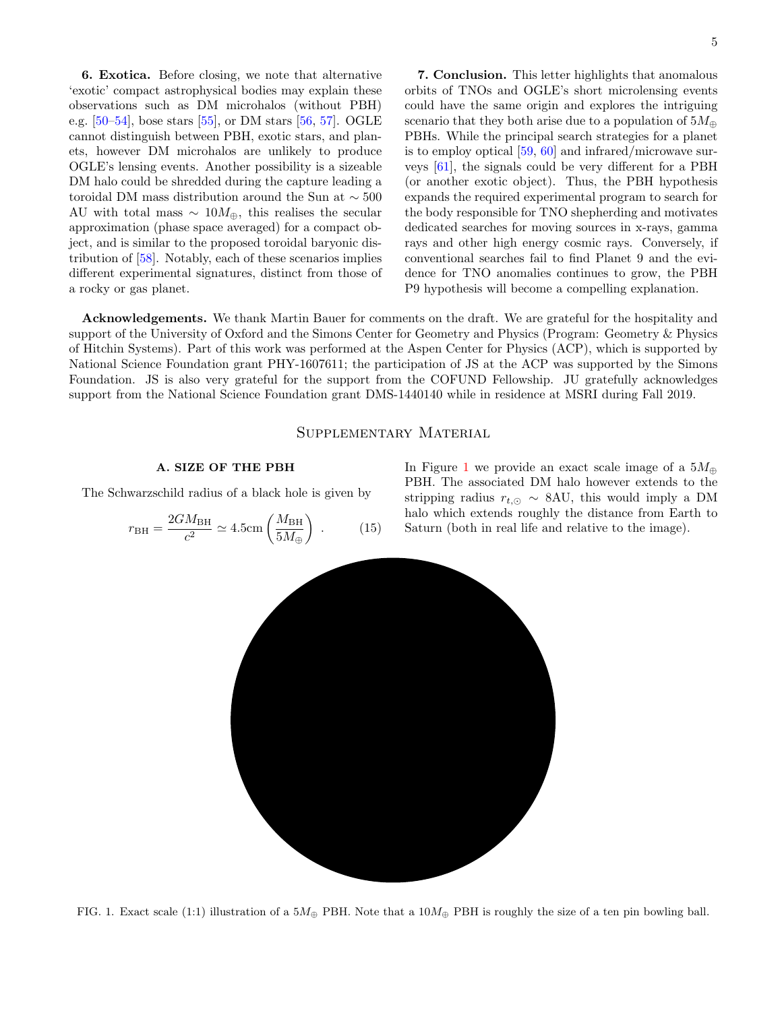6. Exotica. Before closing, we note that alternative 'exotic' compact astrophysical bodies may explain these observations such as DM microhalos (without PBH) e.g. [\[50–](#page-6-25)[54\]](#page-6-26), bose stars [\[55\]](#page-6-27), or DM stars [\[56,](#page-6-28) [57\]](#page-6-29). OGLE cannot distinguish between PBH, exotic stars, and planets, however DM microhalos are unlikely to produce OGLE's lensing events. Another possibility is a sizeable DM halo could be shredded during the capture leading a toroidal DM mass distribution around the Sun at ∼ 500 AU with total mass  $\sim 10M_{\oplus}$ , this realises the secular approximation (phase space averaged) for a compact object, and is similar to the proposed toroidal baryonic distribution of [\[58\]](#page-6-30). Notably, each of these scenarios implies different experimental signatures, distinct from those of a rocky or gas planet.

7. Conclusion. This letter highlights that anomalous orbits of TNOs and OGLE's short microlensing events could have the same origin and explores the intriguing scenario that they both arise due to a population of  $5M_{\oplus}$ PBHs. While the principal search strategies for a planet is to employ optical [\[59,](#page-6-31) [60\]](#page-6-32) and infrared/microwave surveys [\[61\]](#page-6-33), the signals could be very different for a PBH (or another exotic object). Thus, the PBH hypothesis expands the required experimental program to search for the body responsible for TNO shepherding and motivates dedicated searches for moving sources in x-rays, gamma rays and other high energy cosmic rays. Conversely, if conventional searches fail to find Planet 9 and the evidence for TNO anomalies continues to grow, the PBH P9 hypothesis will become a compelling explanation.

Acknowledgements. We thank Martin Bauer for comments on the draft. We are grateful for the hospitality and support of the University of Oxford and the Simons Center for Geometry and Physics (Program: Geometry & Physics of Hitchin Systems). Part of this work was performed at the Aspen Center for Physics (ACP), which is supported by National Science Foundation grant PHY-1607611; the participation of JS at the ACP was supported by the Simons Foundation. JS is also very grateful for the support from the COFUND Fellowship. JU gratefully acknowledges support from the National Science Foundation grant DMS-1440140 while in residence at MSRI during Fall 2019.

## Supplementary Material

## A. SIZE OF THE PBH

The Schwarzschild radius of a black hole is given by

$$
r_{\rm BH} = \frac{2GM_{\rm BH}}{c^2} \simeq 4.5 \text{cm} \left(\frac{M_{\rm BH}}{5M_{\oplus}}\right) \ . \tag{15}
$$

In Figure [1](#page-4-0) we provide an exact scale image of a  $5M_{\oplus}$ PBH. The associated DM halo however extends to the stripping radius  $r_{t,\odot} \sim 8$ AU, this would imply a DM halo which extends roughly the distance from Earth to Saturn (both in real life and relative to the image).



<span id="page-4-0"></span>FIG. 1. Exact scale (1:1) illustration of a  $5M_{\oplus}$  PBH. Note that a  $10M_{\oplus}$  PBH is roughly the size of a ten pin bowling ball.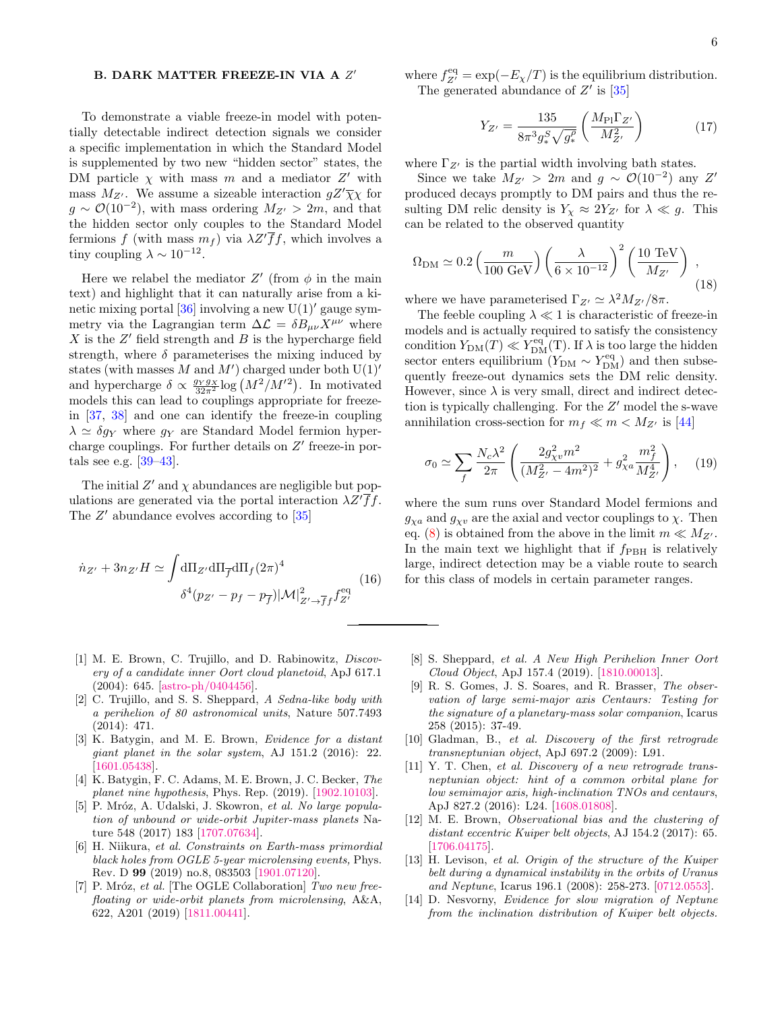## B. DARK MATTER FREEZE-IN VIA A  $Z^\prime$

To demonstrate a viable freeze-in model with potentially detectable indirect detection signals we consider a specific implementation in which the Standard Model is supplemented by two new "hidden sector" states, the DM particle  $\chi$  with mass m and a mediator  $Z'$  with mass  $M_{Z'}$ . We assume a sizeable interaction  $gZ'\overline{\chi}\chi$  for  $g \sim \mathcal{O}(10^{-2})$ , with mass ordering  $M_{Z'} > 2m$ , and that the hidden sector only couples to the Standard Model fermions f (with mass  $m_f$ ) via  $\lambda Z' \overline{f} f$ , which involves a tiny coupling  $\lambda \sim 10^{-12}$ .

Here we relabel the mediator  $Z'$  (from  $\phi$  in the main text) and highlight that it can naturally arise from a ki-netic mixing portal [\[36\]](#page-6-18) involving a new  $U(1)$ <sup>'</sup> gauge symmetry via the Lagrangian term  $\Delta \mathcal{L} = \delta B_{\mu\nu} X^{\mu\nu}$  where  $X$  is the  $Z'$  field strength and  $B$  is the hypercharge field strength, where  $\delta$  parameterises the mixing induced by states (with masses  $M$  and  $M'$ ) charged under both  $U(1)$ <sup>'</sup> and hypercharge  $\delta \propto \frac{g_Y g_X}{32\pi^2} \log (M^2/M'^2)$ . In motivated models this can lead to couplings appropriate for freezein [\[37,](#page-6-34) [38\]](#page-6-35) and one can identify the freeze-in coupling  $\lambda \simeq \delta g_Y$  where  $g_Y$  are Standard Model fermion hypercharge couplings. For further details on  $Z'$  freeze-in portals see e.g. [\[39–](#page-6-36)[43\]](#page-6-37).

The initial  $Z'$  and  $\chi$  abundances are negligible but populations are generated via the portal interaction  $\lambda Z^{\prime} \bar{f}f$ . The  $Z'$  abundance evolves according to  $[35]$ 

$$
\dot{n}_{Z'} + 3n_{Z'}H \simeq \int d\Pi_{Z'} d\Pi_{\overline{f}} d\Pi_f (2\pi)^4
$$
\n
$$
\delta^4 (p_{Z'} - p_f - p_{\overline{f}}) |\mathcal{M}|^2_{Z' \to \overline{f}f} f_{Z'}^{\text{eq}} \tag{16}
$$

- <span id="page-5-0"></span>[1] M. E. Brown, C. Trujillo, and D. Rabinowitz, *Discov*ery of a candidate inner Oort cloud planetoid, ApJ 617.1 (2004): 645. [\[astro-ph/0404456\]](https://arxiv.org/abs/astro-ph/0404456).
- <span id="page-5-6"></span>[2] C. Trujillo, and S. S. Sheppard, A Sedna-like body with a perihelion of 80 astronomical units, Nature 507.7493 (2014): 471.
- <span id="page-5-1"></span>[3] K. Batygin, and M. E. Brown, *Evidence for a distant* giant planet in the solar system, AJ 151.2 (2016): 22. [\[1601.05438\]](https://arxiv.org/abs/1601.05438).
- <span id="page-5-2"></span>[4] K. Batygin, F. C. Adams, M. E. Brown, J. C. Becker, The planet nine hypothesis, Phys. Rep. (2019). [\[1902.10103\]](https://arxiv.org/abs/1902.10103).
- <span id="page-5-3"></span>[5] P. Mróz, A. Udalski, J. Skowron, et al. No large population of unbound or wide-orbit Jupiter-mass planets Nature 548 (2017) 183 [\[1707.07634\]](https://arxiv.org/abs/1707.07634).
- <span id="page-5-4"></span>[6] H. Niikura, et al. Constraints on Earth-mass primordial black holes from OGLE 5-year microlensing events, Phys. Rev. D 99 (2019) no.8, 083503 [\[1901.07120\]](https://arxiv.org/abs/1901.07120).
- <span id="page-5-5"></span>[7] P. Mróz, et al. [The OGLE Collaboration] Two new freefloating or wide-orbit planets from microlensing, A&A, 622, A201 (2019) [\[1811.00441\]](https://arxiv.org/abs/1811.00441).

where  $f_{Z'}^{\text{eq}} = \exp(-E_{\chi}/T)$  is the equilibrium distribution. The generated abundance of  $Z'$  is  $[35]$ 

$$
Y_{Z'} = \frac{135}{8\pi^3 g_*^S \sqrt{g_*^\rho}} \left(\frac{M_{\rm Pl} \Gamma_{Z'}}{M_{Z'}^2}\right) \tag{17}
$$

where  $\Gamma_{Z}$  is the partial width involving bath states.

Since we take  $M_{Z'} > 2m$  and  $g \sim \mathcal{O}(10^{-2})$  any Z' produced decays promptly to DM pairs and thus the resulting DM relic density is  $Y_\chi \approx 2Y_{Z'}$  for  $\lambda \ll g$ . This can be related to the observed quantity

$$
\Omega_{\rm DM} \simeq 0.2 \left( \frac{m}{100 \text{ GeV}} \right) \left( \frac{\lambda}{6 \times 10^{-12}} \right)^2 \left( \frac{10 \text{ TeV}}{M_{Z'}} \right) , \qquad (18)
$$

where we have parameterised  $\Gamma_{Z'} \simeq \lambda^2 M_{Z'}/8\pi$ .

The feeble coupling  $\lambda \ll 1$  is characteristic of freeze-in models and is actually required to satisfy the consistency condition  $Y_{\text{DM}}(T) \ll Y_{\text{DM}}^{\text{eq}}(T)$ . If  $\lambda$  is too large the hidden sector enters equilibrium  $(Y_{DM} \sim Y_{DM}^{eq})$  and then subsequently freeze-out dynamics sets the DM relic density. However, since  $\lambda$  is very small, direct and indirect detection is typically challenging. For the  $Z'$  model the s-wave annihilation cross-section for  $m_f \ll m < M_{Z'}$  is [\[44\]](#page-6-19)

$$
\sigma_0 \simeq \sum_f \frac{N_c \lambda^2}{2\pi} \left( \frac{2g_{\chi v}^2 m^2}{(M_{Z'}^2 - 4m^2)^2} + g_{\chi a}^2 \frac{m_f^2}{M_{Z'}^4} \right), \quad (19)
$$

where the sum runs over Standard Model fermions and  $g_{\chi a}$  and  $g_{\chi v}$  are the axial and vector couplings to  $\chi$ . Then eq. [\(8\)](#page-3-1) is obtained from the above in the limit  $m \ll M_{Z'}$ . In the main text we highlight that if  $f_{\rm PBH}$  is relatively large, indirect detection may be a viable route to search for this class of models in certain parameter ranges.

- <span id="page-5-7"></span>[8] S. Sheppard, et al. A New High Perihelion Inner Oort Cloud Object, ApJ 157.4 (2019). [\[1810.00013\]](https://arxiv.org/abs/1810.00013).
- <span id="page-5-8"></span>[9] R. S. Gomes, J. S. Soares, and R. Brasser, The observation of large semi-major axis Centaurs: Testing for the signature of a planetary-mass solar companion, Icarus 258 (2015): 37-49.
- [10] Gladman, B., et al. Discovery of the first retrograde transneptunian object, ApJ 697.2 (2009): L91.
- <span id="page-5-9"></span>[11] Y. T. Chen, et al. Discovery of a new retrograde transneptunian object: hint of a common orbital plane for low semimajor axis, high-inclination TNOs and centaurs, ApJ 827.2 (2016): L24. [\[1608.01808\]](https://arxiv.org/abs/1608.01808).
- <span id="page-5-10"></span>[12] M. E. Brown, Observational bias and the clustering of distant eccentric Kuiper belt objects, AJ 154.2 (2017): 65. [\[1706.04175\]](https://arxiv.org/abs/1706.04175).
- <span id="page-5-11"></span>[13] H. Levison, et al. Origin of the structure of the Kuiper belt during a dynamical instability in the orbits of Uranus and Neptune, Icarus 196.1 (2008): 258-273. [\[0712.0553\]](https://arxiv.org/abs/0712.0553).
- <span id="page-5-12"></span>[14] D. Nesvorny, Evidence for slow migration of Neptune from the inclination distribution of Kuiper belt objects.